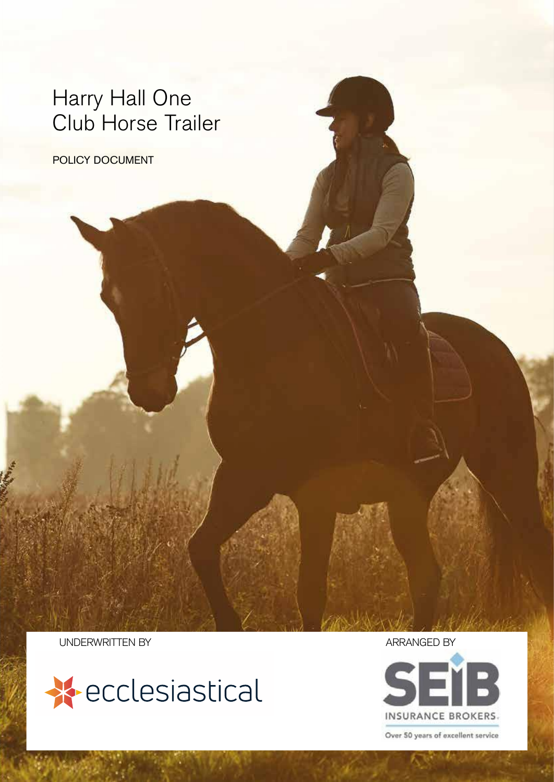### Harry Hall One Club Horse Trailer

POLICY DOCUMENT

UNDERWRITTEN BY **ARRANGED** BY





Over 50 years of excellent service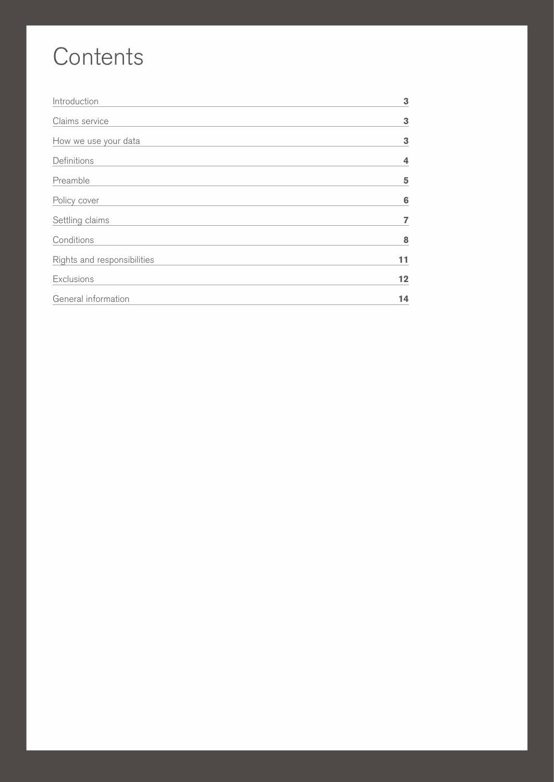# **Contents**

| Introduction                | 3  |
|-----------------------------|----|
| Claims service              | 3  |
| How we use your data        | 3  |
| Definitions                 | 4  |
| Preamble                    | 5  |
| Policy cover                | 6  |
| Settling claims             | 7  |
| Conditions                  | 8  |
| Rights and responsibilities | 11 |
| Exclusions                  | 12 |
| General information         | 14 |

2 POLICY DOCUMENT HARRY HALL ONE CLUB HORSE TRAILER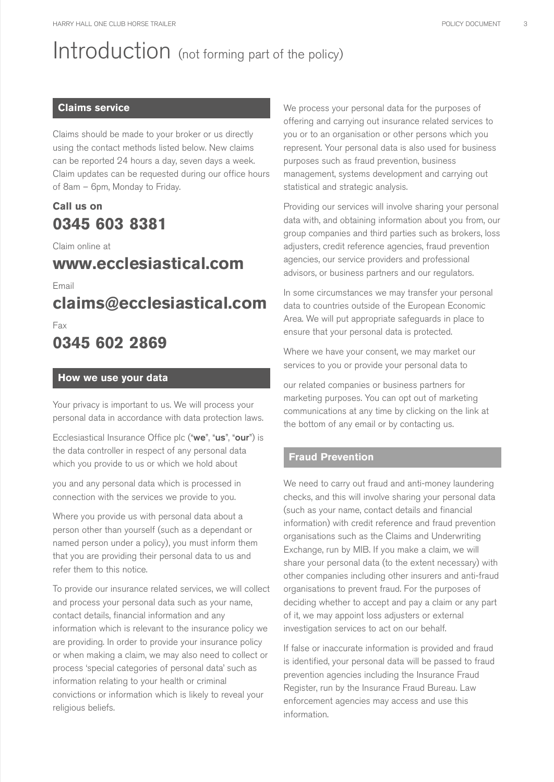# Introduction (not forming part of the policy)

### **Claims service**

Claims should be made to your broker or us directly using the contact methods listed below. New claims can be reported 24 hours a day, seven days a week. Claim updates can be requested during our office hours of 8am – 6pm, Monday to Friday.

### **Call us on 0345 603 8381**

#### Claim online at

### **www.ecclesiastical.com**

Email

**claims@ecclesiastical.com**

Fax

### **0345 602 2869**

#### **How we use your data**

Your privacy is important to us. We will process your personal data in accordance with data protection laws.

Ecclesiastical Insurance Office plc ("we", "us", "our") is the data controller in respect of any personal data which you provide to us or which we hold about

you and any personal data which is processed in connection with the services we provide to you.

Where you provide us with personal data about a person other than yourself (such as a dependant or named person under a policy), you must inform them that you are providing their personal data to us and refer them to this notice.

To provide our insurance related services, we will collect and process your personal data such as your name, contact details, financial information and any information which is relevant to the insurance policy we are providing. In order to provide your insurance policy or when making a claim, we may also need to collect or process 'special categories of personal data' such as information relating to your health or criminal convictions or information which is likely to reveal your religious beliefs.

We process your personal data for the purposes of offering and carrying out insurance related services to you or to an organisation or other persons which you represent. Your personal data is also used for business purposes such as fraud prevention, business management, systems development and carrying out statistical and strategic analysis.

Providing our services will involve sharing your personal data with, and obtaining information about you from, our group companies and third parties such as brokers, loss adjusters, credit reference agencies, fraud prevention agencies, our service providers and professional advisors, or business partners and our regulators.

In some circumstances we may transfer your personal data to countries outside of the European Economic Area. We will put appropriate safeguards in place to ensure that your personal data is protected.

Where we have your consent, we may market our services to you or provide your personal data to

our related companies or business partners for marketing purposes. You can opt out of marketing communications at any time by clicking on the link at the bottom of any email or by contacting us.

### **Fraud Prevention**

We need to carry out fraud and anti-money laundering checks, and this will involve sharing your personal data (such as your name, contact details and financial information) with credit reference and fraud prevention organisations such as the Claims and Underwriting Exchange, run by MIB. If you make a claim, we will share your personal data (to the extent necessary) with other companies including other insurers and anti-fraud organisations to prevent fraud. For the purposes of deciding whether to accept and pay a claim or any part of it, we may appoint loss adjusters or external investigation services to act on our behalf.

If false or inaccurate information is provided and fraud is identified, your personal data will be passed to fraud prevention agencies including the Insurance Fraud Register, run by the Insurance Fraud Bureau. Law enforcement agencies may access and use this information.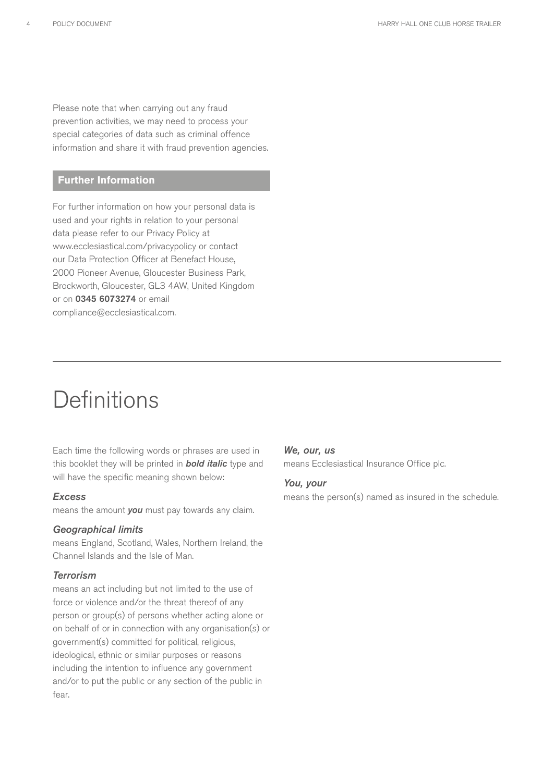Please note that when carrying out any fraud prevention activities, we may need to process your special categories of data such as criminal offence information and share it with fraud prevention agencies.

#### **Further Information**

For further information on how your personal data is used and your rights in relation to your personal data please refer to our Privacy Policy at www.ecclesiastical.com/privacypolicy or contact our Data Protection Officer at Benefact House, 2000 Pioneer Avenue, Gloucester Business Park, Brockworth, Gloucester, GL3 4AW, United Kingdom or on 0345 6073274 or email compliance@ecclesiastical.com.

### **Definitions**

Each time the following words or phrases are used in this booklet they will be printed in *bold italic* type and will have the specific meaning shown below:

#### *Excess*

means the amount *you* must pay towards any claim.

#### *Geographical limits*

means England, Scotland, Wales, Northern Ireland, the Channel Islands and the Isle of Man.

#### *Terrorism*

means an act including but not limited to the use of force or violence and/or the threat thereof of any person or group(s) of persons whether acting alone or on behalf of or in connection with any organisation(s) or government(s) committed for political, religious, ideological, ethnic or similar purposes or reasons including the intention to influence any government and/or to put the public or any section of the public in fear.

#### *We, our, us*

means Ecclesiastical Insurance Office plc.

#### *You, your*

means the person(s) named as insured in the schedule.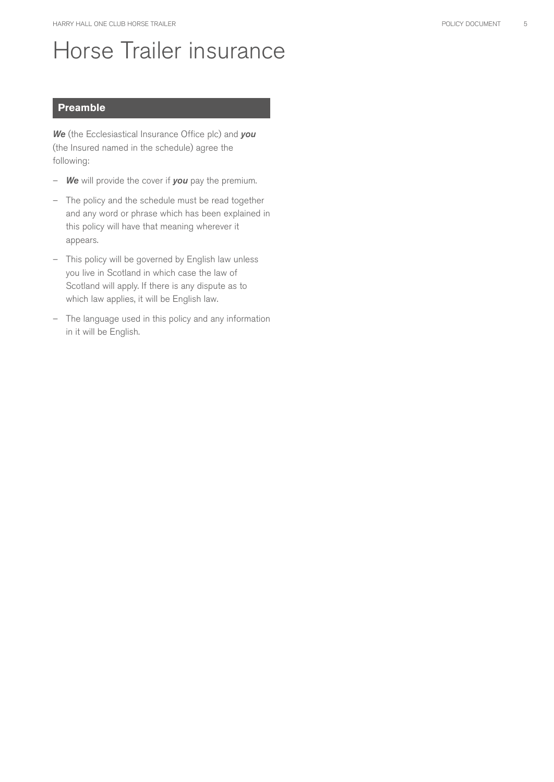### Horse Trailer insurance

#### **Preamble**

*We* (the Ecclesiastical Insurance Office plc) and *you* (the Insured named in the schedule) agree the following:

- *We* will provide the cover if *you* pay the premium.
- The policy and the schedule must be read together and any word or phrase which has been explained in this policy will have that meaning wherever it appears.
- This policy will be governed by English law unless you live in Scotland in which case the law of Scotland will apply. If there is any dispute as to which law applies, it will be English law.
- The language used in this policy and any information in it will be English.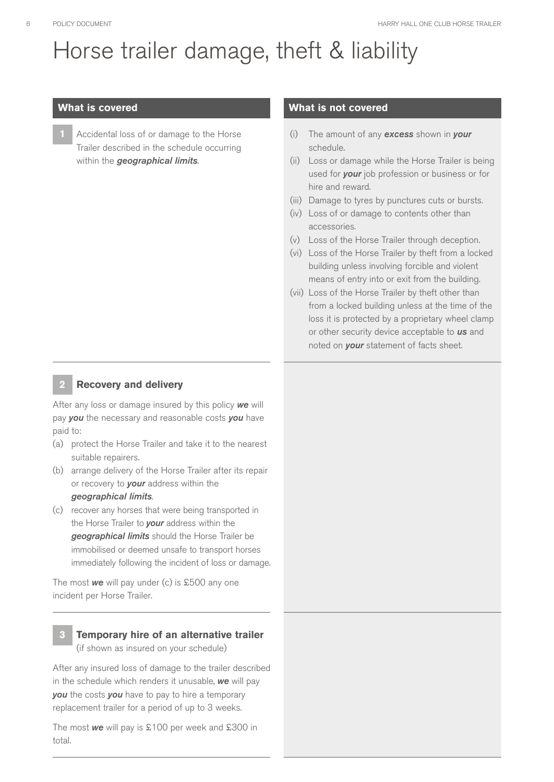# Horse trailer damage, theft & liability

**1** Accidental loss of or damage to the Horse Trailer described in the schedule occurring within the *geographical limits*.

#### **What is covered What is not covered**

- (i) The amount of any *excess* shown in *your* schedule.
- (ii) Loss or damage while the Horse Trailer is being used for *your* job profession or business or for hire and reward.
- (iii) Damage to tyres by punctures cuts or bursts.
- (iv) Loss of or damage to contents other than accessories.
- (v) Loss of the Horse Trailer through deception.
- (vi) Loss of the Horse Trailer by theft from a locked building unless involving forcible and violent means of entry into or exit from the building.
- (vii) Loss of the Horse Trailer by theft other than from a locked building unless at the time of the loss it is protected by a proprietary wheel clamp or other security device acceptable to *us* and noted on *your* statement of facts sheet.

#### **2 Recovery and delivery**

After any loss or damage insured by this policy *we* will pay *you* the necessary and reasonable costs *you* have paid to:

- (a) protect the Horse Trailer and take it to the nearest suitable repairers.
- (b) arrange delivery of the Horse Trailer after its repair or recovery to *your* address within the *geographical limits*.
- (c) recover any horses that were being transported in the Horse Trailer to *your* address within the *geographical limits* should the Horse Trailer be immobilised or deemed unsafe to transport horses immediately following the incident of loss or damage.

The most *we* will pay under (c) is £500 any one incident per Horse Trailer.

#### **3 Temporary hire of an alternative trailer** (if shown as insured on your schedule)

After any insured loss of damage to the trailer described in the schedule which renders it unusable, *we* will pay *you* the costs *you* have to pay to hire a temporary replacement trailer for a period of up to 3 weeks.

The most *we* will pay is £100 per week and £300 in total.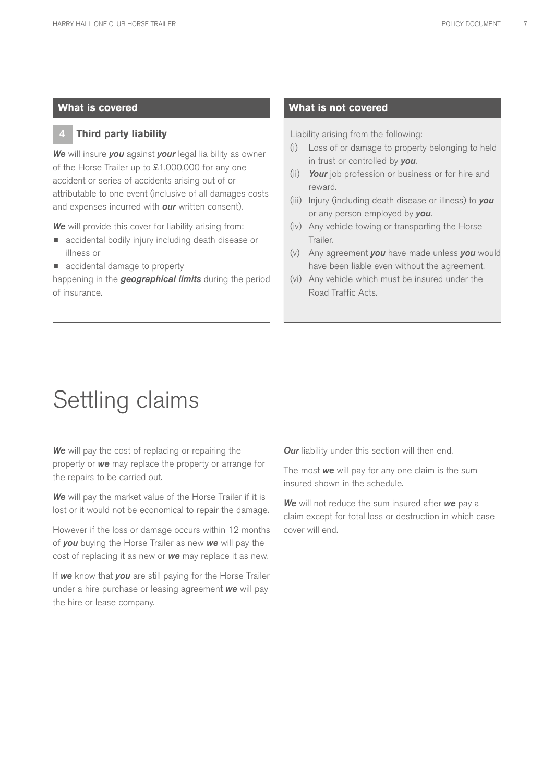#### **4 Third party liability**

*We* will insure *you* against *your* legal lia bility as owner of the Horse Trailer up to £1,000,000 for any one accident or series of accidents arising out of or attributable to one event (inclusive of all damages costs and expenses incurred with *our* written consent).

*We* will provide this cover for liability arising from:

- **•** accidental bodily injury including death disease or illness or
- **•** accidental damage to property

happening in the *geographical limits* during the period of insurance.

#### **What is covered What is not covered**

Liability arising from the following:

- (i) Loss of or damage to property belonging to held in trust or controlled by *you*.
- (ii) *Your* job profession or business or for hire and reward.
- (iii) Injury (including death disease or illness) to *you* or any person employed by *you*.
- (iv) Any vehicle towing or transporting the Horse Trailer.
- (v) Any agreement *you* have made unless *you* would have been liable even without the agreement.
- (vi) Any vehicle which must be insured under the Road Traffic Acts.

### Settling claims

**We** will pay the cost of replacing or repairing the property or *we* may replace the property or arrange for the repairs to be carried out.

*We* will pay the market value of the Horse Trailer if it is lost or it would not be economical to repair the damage.

However if the loss or damage occurs within 12 months of *you* buying the Horse Trailer as new *we* will pay the cost of replacing it as new or *we* may replace it as new.

If *we* know that *you* are still paying for the Horse Trailer under a hire purchase or leasing agreement *we* will pay the hire or lease company.

**Our** liability under this section will then end.

The most *we* will pay for any one claim is the sum insured shown in the schedule.

*We* will not reduce the sum insured after *we* pay a claim except for total loss or destruction in which case cover will end.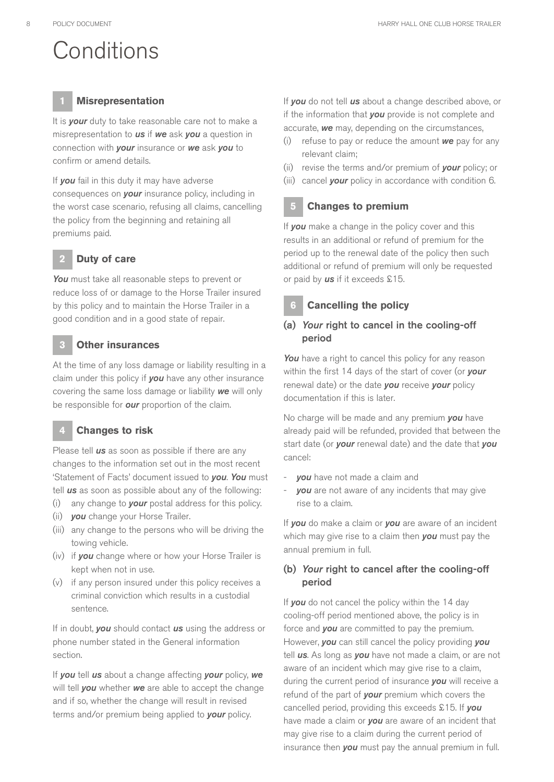# **Conditions**

#### **1 Misrepresentation**

It is *your* duty to take reasonable care not to make a misrepresentation to *us* if *we* ask *you* a question in connection with *your* insurance or *we* ask *you* to confirm or amend details.

If *you* fail in this duty it may have adverse consequences on *your* insurance policy, including in the worst case scenario, refusing all claims, cancelling the policy from the beginning and retaining all premiums paid.

#### **2 Duty of care**

*You* must take all reasonable steps to prevent or reduce loss of or damage to the Horse Trailer insured by this policy and to maintain the Horse Trailer in a good condition and in a good state of repair.

#### **3 Other insurances**

At the time of any loss damage or liability resulting in a claim under this policy if *you* have any other insurance covering the same loss damage or liability *we* will only be responsible for *our* proportion of the claim.

#### **4 Changes to risk**

Please tell *us* as soon as possible if there are any changes to the information set out in the most recent 'Statement of Facts' document issued to *you*. *You* must tell *us* as soon as possible about any of the following:

- (i) any change to *your* postal address for this policy.
- (ii) *you* change your Horse Trailer.
- (iii) any change to the persons who will be driving the towing vehicle.
- (iv) if *you* change where or how your Horse Trailer is kept when not in use.
- (v) if any person insured under this policy receives a criminal conviction which results in a custodial sentence.

If in doubt, *you* should contact *us* using the address or phone number stated in the General information section.

If *you* tell *us* about a change affecting *your* policy, *we* will tell *you* whether *we* are able to accept the change and if so, whether the change will result in revised terms and/or premium being applied to *your* policy.

If *you* do not tell *us* about a change described above, or if the information that *you* provide is not complete and accurate, *we* may, depending on the circumstances,

- (i) refuse to pay or reduce the amount *we* pay for any relevant claim;
- (ii) revise the terms and/or premium of *your* policy; or
- (iii) cancel *your* policy in accordance with condition 6.

#### **5 Changes to premium**

If *you* make a change in the policy cover and this results in an additional or refund of premium for the period up to the renewal date of the policy then such additional or refund of premium will only be requested or paid by *us* if it exceeds £15.

#### **6 Cancelling the policy**

#### (a) *Your* right to cancel in the cooling-off period

You have a right to cancel this policy for any reason within the first 14 days of the start of cover (or *your* renewal date) or the date *you* receive *your* policy documentation if this is later.

No charge will be made and any premium *you* have already paid will be refunded, provided that between the start date (or *your* renewal date) and the date that *you* cancel:

- **you** have not made a claim and
- **you** are not aware of any incidents that may give rise to a claim.

If *you* do make a claim or *you* are aware of an incident which may give rise to a claim then *you* must pay the annual premium in full.

#### (b) *Your* right to cancel after the cooling-off period

If **you** do not cancel the policy within the 14 day cooling-off period mentioned above, the policy is in force and *you* are committed to pay the premium. However, *you* can still cancel the policy providing *you* tell *us*. As long as *you* have not made a claim, or are not aware of an incident which may give rise to a claim, during the current period of insurance *you* will receive a refund of the part of *your* premium which covers the cancelled period, providing this exceeds £15. If *you* have made a claim or *you* are aware of an incident that may give rise to a claim during the current period of insurance then *you* must pay the annual premium in full.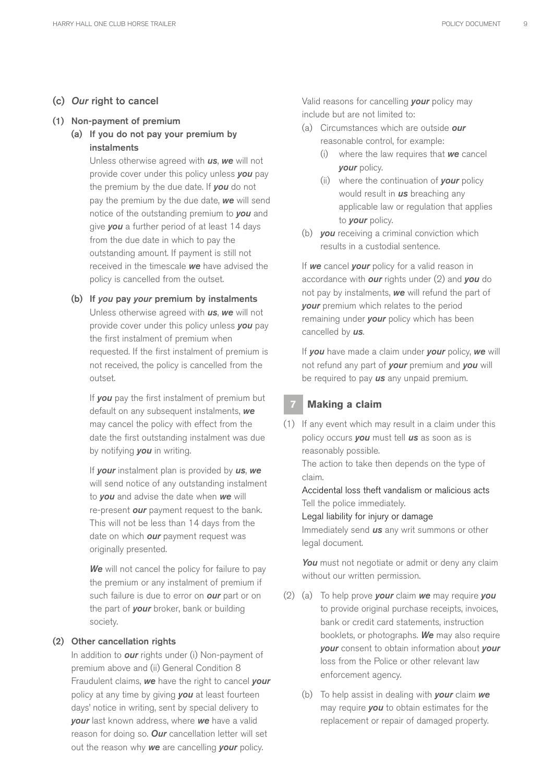#### (c) *Our* right to cancel

#### (1) Non-payment of premium

(a) If you do not pay your premium by instalments

> Unless otherwise agreed with *us*, *we* will not provide cover under this policy unless *you* pay the premium by the due date. If *you* do not pay the premium by the due date, *we* will send notice of the outstanding premium to *you* and give *you* a further period of at least 14 days from the due date in which to pay the outstanding amount. If payment is still not received in the timescale *we* have advised the policy is cancelled from the outset.

#### (b) If *you* pay *your* premium by instalments Unless otherwise agreed with *us*, *we* will not provide cover under this policy unless *you* pay the first instalment of premium when requested. If the first instalment of premium is not received, the policy is cancelled from the outset.

If *you* pay the first instalment of premium but default on any subsequent instalments, *we* may cancel the policy with effect from the date the first outstanding instalment was due by notifying *you* in writing.

If *your* instalment plan is provided by *us*, *we* will send notice of any outstanding instalment to *you* and advise the date when *we* will re-present *our* payment request to the bank. This will not be less than 14 days from the date on which *our* payment request was originally presented.

**We** will not cancel the policy for failure to pay the premium or any instalment of premium if such failure is due to error on *our* part or on the part of *your* broker, bank or building society.

#### (2) Other cancellation rights

In addition to *our* rights under (i) Non-payment of premium above and (ii) General Condition 8 Fraudulent claims, *we* have the right to cancel *your* policy at any time by giving *you* at least fourteen days' notice in writing, sent by special delivery to *your* last known address, where *we* have a valid reason for doing so. *Our* cancellation letter will set out the reason why *we* are cancelling *your* policy.

Valid reasons for cancelling *your* policy may include but are not limited to:

- (a) Circumstances which are outside *our* reasonable control, for example:
	- (i) where the law requires that *we* cancel *your* policy.
	- (ii) where the continuation of *your* policy would result in *us* breaching any applicable law or regulation that applies to *your* policy.
- (b) *you* receiving a criminal conviction which results in a custodial sentence.

If *we* cancel *your* policy for a valid reason in accordance with *our* rights under (2) and *you* do not pay by instalments, *we* will refund the part of *your* premium which relates to the period remaining under *your* policy which has been cancelled by *us*.

If *you* have made a claim under *your* policy, *we* will not refund any part of *your* premium and *you* will be required to pay *us* any unpaid premium.

#### **7 Making a claim**

(1) If any event which may result in a claim under this policy occurs *you* must tell *us* as soon as is reasonably possible.

The action to take then depends on the type of claim.

Accidental loss theft vandalism or malicious acts Tell the police immediately.

Legal liability for injury or damage

Immediately send *us* any writ summons or other legal document.

You must not negotiate or admit or deny any claim without our written permission.

- (2) (a) To help prove *your* claim *we* may require *you* to provide original purchase receipts, invoices, bank or credit card statements, instruction booklets, or photographs. *We* may also require *your* consent to obtain information about *your* loss from the Police or other relevant law enforcement agency.
	- (b) To help assist in dealing with *your* claim *we* may require *you* to obtain estimates for the replacement or repair of damaged property.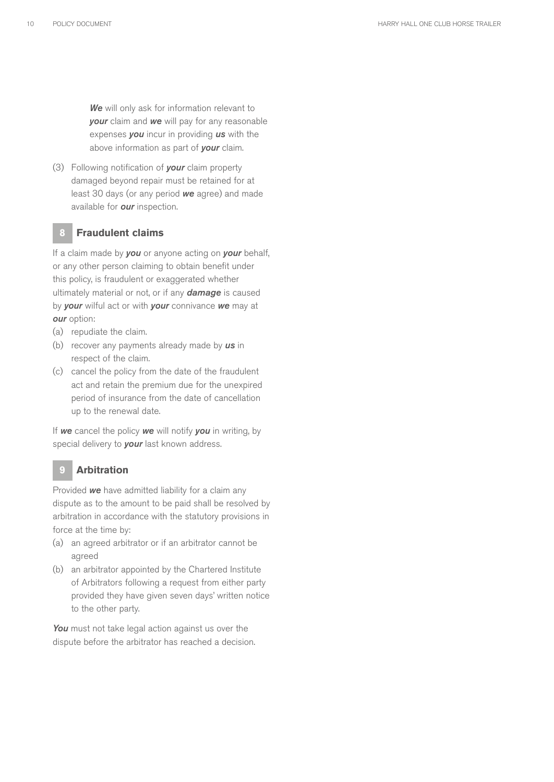*We* will only ask for information relevant to *your* claim and *we* will pay for any reasonable expenses *you* incur in providing *us* with the above information as part of *your* claim.

(3) Following notification of *your* claim property damaged beyond repair must be retained for at least 30 days (or any period *we* agree) and made available for *our* inspection.

#### **8 Fraudulent claims**

If a claim made by *you* or anyone acting on *your* behalf, or any other person claiming to obtain benefit under this policy, is fraudulent or exaggerated whether ultimately material or not, or if any *damage* is caused by *your* wilful act or with *your* connivance *we* may at *our* option:

- (a) repudiate the claim.
- (b) recover any payments already made by *us* in respect of the claim.
- (c) cancel the policy from the date of the fraudulent act and retain the premium due for the unexpired period of insurance from the date of cancellation up to the renewal date.

If *we* cancel the policy *we* will notify *you* in writing, by special delivery to *your* last known address.

#### **9 Arbitration**

Provided *we* have admitted liability for a claim any dispute as to the amount to be paid shall be resolved by arbitration in accordance with the statutory provisions in force at the time by:

- (a) an agreed arbitrator or if an arbitrator cannot be agreed
- (b) an arbitrator appointed by the Chartered Institute of Arbitrators following a request from either party provided they have given seven days' written notice to the other party.

You must not take legal action against us over the dispute before the arbitrator has reached a decision.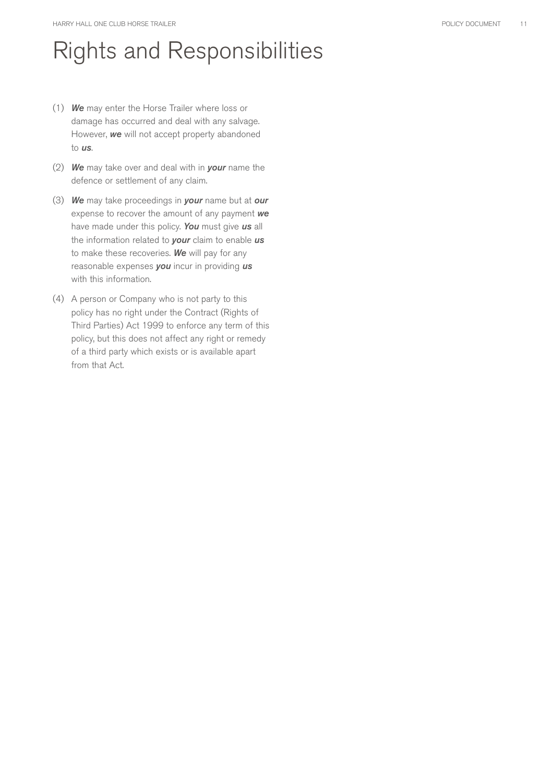# Rights and Responsibilities

- (1) *We* may enter the Horse Trailer where loss or damage has occurred and deal with any salvage. However, *we* will not accept property abandoned to *us*.
- (2) *We* may take over and deal with in *your* name the defence or settlement of any claim.
- (3) *We* may take proceedings in *your* name but at *our* expense to recover the amount of any payment *we* have made under this policy. *You* must give *us* all the information related to *your* claim to enable *us* to make these recoveries. *We* will pay for any reasonable expenses *you* incur in providing *us* with this information.
- (4) A person or Company who is not party to this policy has no right under the Contract (Rights of Third Parties) Act 1999 to enforce any term of this policy, but this does not affect any right or remedy of a third party which exists or is available apart from that Act.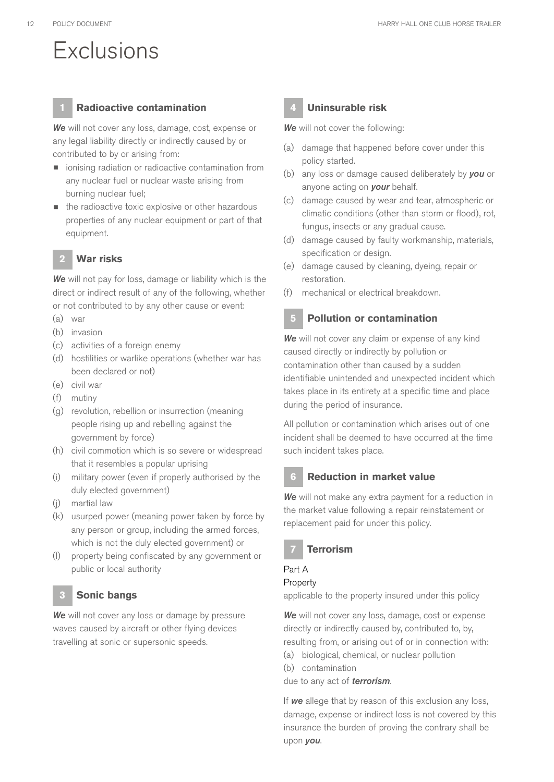# **Exclusions**

#### **1 Radioactive contamination**

*We* will not cover any loss, damage, cost, expense or any legal liability directly or indirectly caused by or contributed to by or arising from:

- **•** ionising radiation or radioactive contamination from any nuclear fuel or nuclear waste arising from burning nuclear fuel;
- **the radioactive toxic explosive or other hazardous** properties of any nuclear equipment or part of that equipment.

#### **2 War risks**

*We* will not pay for loss, damage or liability which is the direct or indirect result of any of the following, whether or not contributed to by any other cause or event:

- (a) war
- (b) invasion
- (c) activities of a foreign enemy
- (d) hostilities or warlike operations (whether war has been declared or not)
- (e) civil war
- (f) mutiny
- (g) revolution, rebellion or insurrection (meaning people rising up and rebelling against the government by force)
- (h) civil commotion which is so severe or widespread that it resembles a popular uprising
- (i) military power (even if properly authorised by the duly elected government)
- (j) martial law
- (k) usurped power (meaning power taken by force by any person or group, including the armed forces, which is not the duly elected government) or
- (l) property being confiscated by any government or public or local authority

#### **3 Sonic bangs**

*We* will not cover any loss or damage by pressure waves caused by aircraft or other flying devices travelling at sonic or supersonic speeds.

#### **4 Uninsurable risk**

*We* will not cover the following:

- (a) damage that happened before cover under this policy started.
- (b) any loss or damage caused deliberately by *you* or anyone acting on *your* behalf.
- (c) damage caused by wear and tear, atmospheric or climatic conditions (other than storm or flood), rot, fungus, insects or any gradual cause.
- (d) damage caused by faulty workmanship, materials, specification or design.
- (e) damage caused by cleaning, dyeing, repair or restoration.
- (f) mechanical or electrical breakdown.

#### **5 Pollution or contamination**

*We* will not cover any claim or expense of any kind caused directly or indirectly by pollution or contamination other than caused by a sudden identifiable unintended and unexpected incident which takes place in its entirety at a specific time and place during the period of insurance.

All pollution or contamination which arises out of one incident shall be deemed to have occurred at the time such incident takes place.

#### **6 Reduction in market value**

*We* will not make any extra payment for a reduction in the market value following a repair reinstatement or replacement paid for under this policy.

#### **7 Terrorism**

#### Part A

#### Property

applicable to the property insured under this policy

*We* will not cover any loss, damage, cost or expense directly or indirectly caused by, contributed to, by, resulting from, or arising out of or in connection with:

- (a) biological, chemical, or nuclear pollution
- (b) contamination
- due to any act of *terrorism*.

If *we* allege that by reason of this exclusion any loss, damage, expense or indirect loss is not covered by this insurance the burden of proving the contrary shall be upon *you*.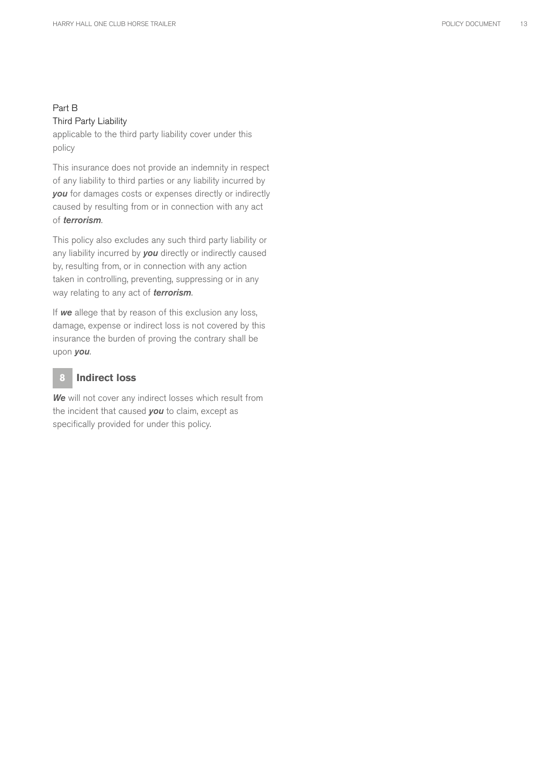#### Part B Third Party Liability

applicable to the third party liability cover under this policy

This insurance does not provide an indemnity in respect of any liability to third parties or any liability incurred by *you* for damages costs or expenses directly or indirectly caused by resulting from or in connection with any act of *terrorism*.

This policy also excludes any such third party liability or any liability incurred by *you* directly or indirectly caused by, resulting from, or in connection with any action taken in controlling, preventing, suppressing or in any way relating to any act of *terrorism*.

If *we* allege that by reason of this exclusion any loss, damage, expense or indirect loss is not covered by this insurance the burden of proving the contrary shall be upon *you*.

#### **8 Indirect loss**

*We* will not cover any indirect losses which result from the incident that caused *you* to claim, except as specifically provided for under this policy.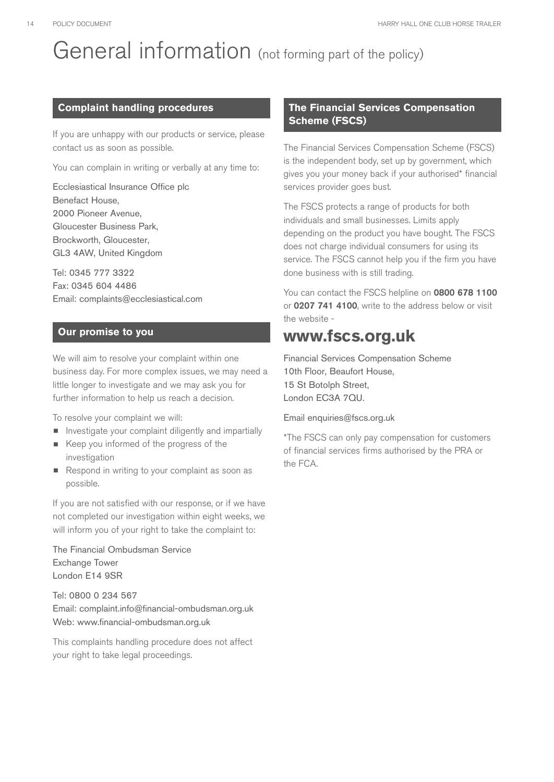# General information (not forming part of the policy)

#### **Complaint handling procedures**

If you are unhappy with our products or service, please contact us as soon as possible.

You can complain in writing or verbally at any time to:

Ecclesiastical Insurance Office plc Benefact House, 2000 Pioneer Avenue, Gloucester Business Park, Brockworth, Gloucester, GL3 4AW, United Kingdom

Tel: 0345 777 3322 Fax: 0345 604 4486 Email: complaints@ecclesiastical.com

#### **Our promise to you**

We will aim to resolve your complaint within one business day. For more complex issues, we may need a little longer to investigate and we may ask you for further information to help us reach a decision.

To resolve your complaint we will:

- **•** Investigate your complaint diligently and impartially
- Keep you informed of the progress of the investigation
- Respond in writing to your complaint as soon as possible.

If you are not satisfied with our response, or if we have not completed our investigation within eight weeks, we will inform you of your right to take the complaint to:

The Financial Ombudsman Service Exchange Tower London E14 9SR

Tel: 0800 0 234 567 Email: complaint.info@financial-ombudsman.org.uk Web: www.financial-ombudsman.org.uk

This complaints handling procedure does not affect your right to take legal proceedings.

#### **The Financial Services Compensation Scheme (FSCS)**

The Financial Services Compensation Scheme (FSCS) is the independent body, set up by government, which gives you your money back if your authorised\* financial services provider goes bust.

The FSCS protects a range of products for both individuals and small businesses. Limits apply depending on the product you have bought. The FSCS does not charge individual consumers for using its service. The FSCS cannot help you if the firm you have done business with is still trading.

You can contact the FSCS helpline on 0800 678 1100 or 0207 741 4100, write to the address below or visit the website -

### **www.fscs.org.uk**

Financial Services Compensation Scheme 10th Floor, Beaufort House, 15 St Botolph Street, London EC3A 7QU.

Email enquiries@fscs.org.uk

\*The FSCS can only pay compensation for customers of financial services firms authorised by the PRA or the FCA.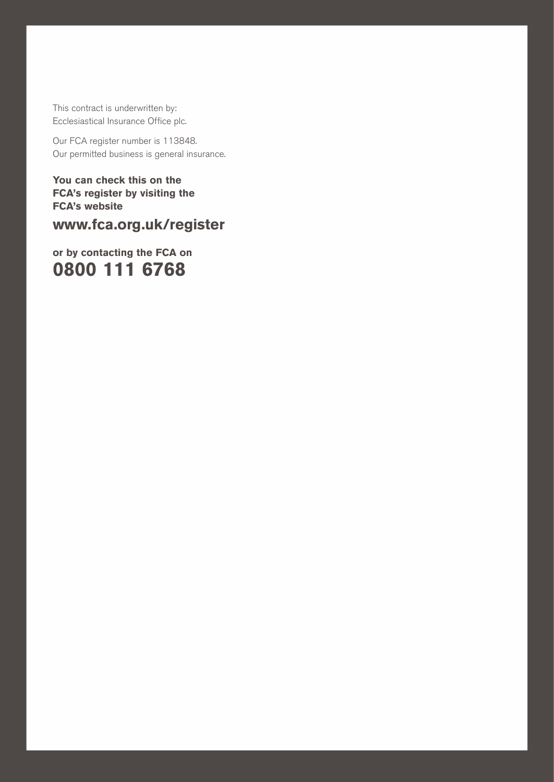This contract is underwritten by: Ecclesiastical Insurance Office plc.

Our FCA register number is 113848. Our permitted business is general insurance.

HARRY HALL ONE CLUB HORSE TRAILER POLICY DOCUMENT 15

**You can check this on the FCA's register by visiting the FCA's website**

**www.fca.org.uk/register** 

**or by contacting the FCA on 0800 111 6768**